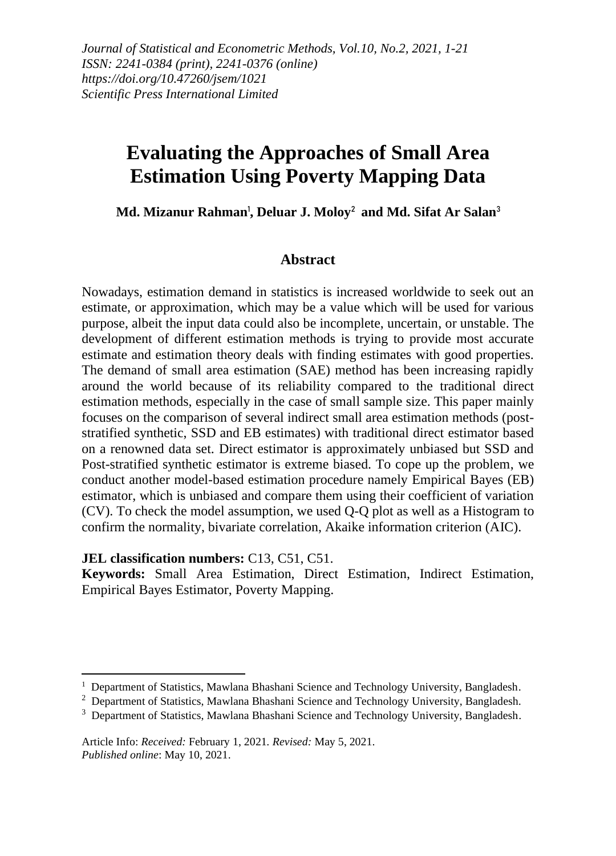*Journal of Statistical and Econometric Methods, Vol.10, No.2, 2021, 1-21 ISSN: 2241-0384 (print), 2241-0376 (online) https://doi.org/10.47260/jsem/1021 Scientific Press International Limited*

# **Evaluating the Approaches of Small Area Estimation Using Poverty Mapping Data**

Md. Mizanur Rahman<sup>ı</sup>, Deluar J. Moloy<sup>2</sup> and Md. Sifat Ar Salan<sup>3</sup>

#### **Abstract**

Nowadays, estimation demand in statistics is increased worldwide to seek out an estimate, or approximation, which may be a value which will be used for various purpose, albeit the input data could also be incomplete, uncertain, or unstable. The development of different estimation methods is trying to provide most accurate estimate and estimation theory deals with finding estimates with good properties. The demand of small area estimation (SAE) method has been increasing rapidly around the world because of its reliability compared to the traditional direct estimation methods, especially in the case of small sample size. This paper mainly focuses on the comparison of several indirect small area estimation methods (poststratified synthetic, SSD and EB estimates) with traditional direct estimator based on a renowned data set. Direct estimator is approximately unbiased but SSD and Post-stratified synthetic estimator is extreme biased. To cope up the problem, we conduct another model-based estimation procedure namely Empirical Bayes (EB) estimator, which is unbiased and compare them using their coefficient of variation (CV). To check the model assumption, we used Q-Q plot as well as a Histogram to confirm the normality, bivariate correlation, Akaike information criterion (AIC).

#### **JEL classification numbers:** C13, C51, C51.

**Keywords:** Small Area Estimation, Direct Estimation, Indirect Estimation, Empirical Bayes Estimator, Poverty Mapping.

<sup>&</sup>lt;sup>1</sup> Department of Statistics, Mawlana Bhashani Science and Technology University, Bangladesh.

<sup>&</sup>lt;sup>2</sup> Department of Statistics, Mawlana Bhashani Science and Technology University, Bangladesh.

<sup>&</sup>lt;sup>3</sup> Department of Statistics, Mawlana Bhashani Science and Technology University, Bangladesh.

Article Info: *Received:* February 1, 2021*. Revised:* May 5, 2021. *Published online*: May 10, 2021.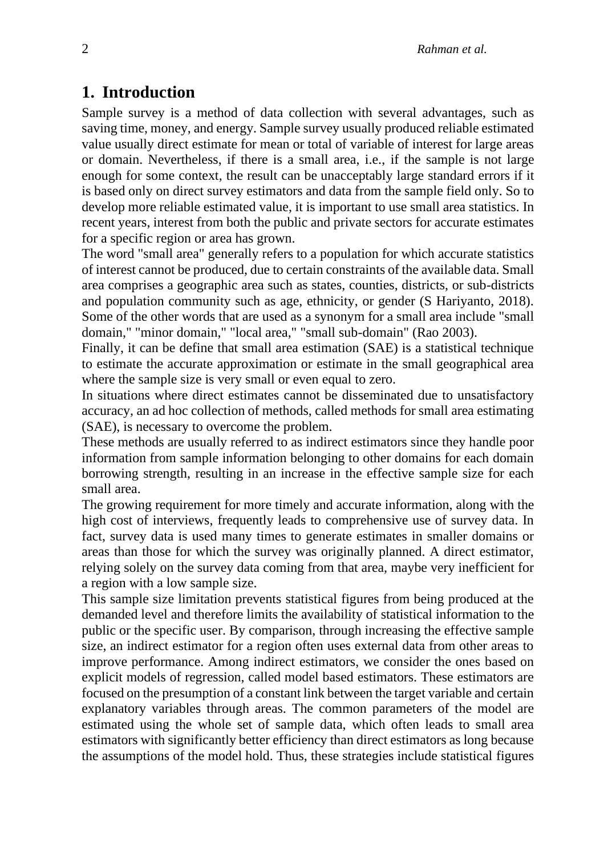### **1. Introduction**

Sample survey is a method of data collection with several advantages, such as saving time, money, and energy. Sample survey usually produced reliable estimated value usually direct estimate for mean or total of variable of interest for large areas or domain. Nevertheless, if there is a small area, i.e., if the sample is not large enough for some context, the result can be unacceptably large standard errors if it is based only on direct survey estimators and data from the sample field only. So to develop more reliable estimated value, it is important to use small area statistics. In recent years, interest from both the public and private sectors for accurate estimates for a specific region or area has grown.

The word "small area" generally refers to a population for which accurate statistics of interest cannot be produced, due to certain constraints of the available data. Small area comprises a geographic area such as states, counties, districts, or sub-districts and population community such as age, ethnicity, or gender (S Hariyanto, 2018). Some of the other words that are used as a synonym for a small area include "small domain," "minor domain," "local area," "small sub-domain" (Rao 2003).

Finally, it can be define that small area estimation (SAE) is a statistical technique to estimate the accurate approximation or estimate in the small geographical area where the sample size is very small or even equal to zero.

In situations where direct estimates cannot be disseminated due to unsatisfactory accuracy, an ad hoc collection of methods, called methods for small area estimating (SAE), is necessary to overcome the problem.

These methods are usually referred to as indirect estimators since they handle poor information from sample information belonging to other domains for each domain borrowing strength, resulting in an increase in the effective sample size for each small area.

The growing requirement for more timely and accurate information, along with the high cost of interviews, frequently leads to comprehensive use of survey data. In fact, survey data is used many times to generate estimates in smaller domains or areas than those for which the survey was originally planned. A direct estimator, relying solely on the survey data coming from that area, maybe very inefficient for a region with a low sample size.

This sample size limitation prevents statistical figures from being produced at the demanded level and therefore limits the availability of statistical information to the public or the specific user. By comparison, through increasing the effective sample size, an indirect estimator for a region often uses external data from other areas to improve performance. Among indirect estimators, we consider the ones based on explicit models of regression, called model based estimators. These estimators are focused on the presumption of a constant link between the target variable and certain explanatory variables through areas. The common parameters of the model are estimated using the whole set of sample data, which often leads to small area estimators with significantly better efficiency than direct estimators as long because the assumptions of the model hold. Thus, these strategies include statistical figures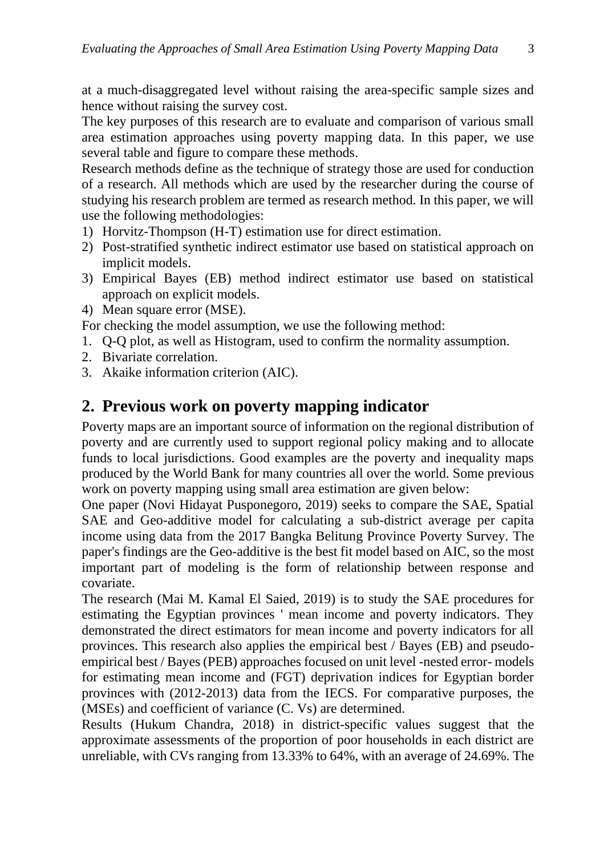at a much-disaggregated level without raising the area-specific sample sizes and hence without raising the survey cost.

The key purposes of this research are to evaluate and comparison of various small area estimation approaches using poverty mapping data. In this paper, we use several table and figure to compare these methods.

Research methods define as the technique of strategy those are used for conduction of a research. All methods which are used by the researcher during the course of studying his research problem are termed as research method. In this paper, we will use the following methodologies:

- 1) Horvitz-Thompson (H-T) estimation use for direct estimation.
- 2) Post-stratified synthetic indirect estimator use based on statistical approach on implicit models.
- 3) Empirical Bayes (EB) method indirect estimator use based on statistical approach on explicit models.
- 4) Mean square error (MSE).

For checking the model assumption, we use the following method:

- 1. Q-Q plot, as well as Histogram, used to confirm the normality assumption.
- 2. Bivariate correlation.
- 3. Akaike information criterion (AIC).

#### **2. Previous work on poverty mapping indicator**

Poverty maps are an important source of information on the regional distribution of poverty and are currently used to support regional policy making and to allocate funds to local jurisdictions. Good examples are the poverty and inequality maps produced by the World Bank for many countries all over the world. Some previous work on poverty mapping using small area estimation are given below:

One paper (Novi Hidayat Pusponegoro, 2019) seeks to compare the SAE, Spatial SAE and Geo-additive model for calculating a sub-district average per capita income using data from the 2017 Bangka Belitung Province Poverty Survey. The paper's findings are the Geo-additive is the best fit model based on AIC, so the most important part of modeling is the form of relationship between response and covariate.

The research (Mai M. Kamal El Saied, 2019) is to study the SAE procedures for estimating the Egyptian provinces ' mean income and poverty indicators. They demonstrated the direct estimators for mean income and poverty indicators for all provinces. This research also applies the empirical best / Bayes (EB) and pseudoempirical best / Bayes (PEB) approaches focused on unit level -nested error- models for estimating mean income and (FGT) deprivation indices for Egyptian border provinces with (2012-2013) data from the IECS. For comparative purposes, the (MSEs) and coefficient of variance (C. Vs) are determined.

Results (Hukum Chandra, 2018) in district-specific values suggest that the approximate assessments of the proportion of poor households in each district are unreliable, with CVs ranging from 13.33% to 64%, with an average of 24.69%. The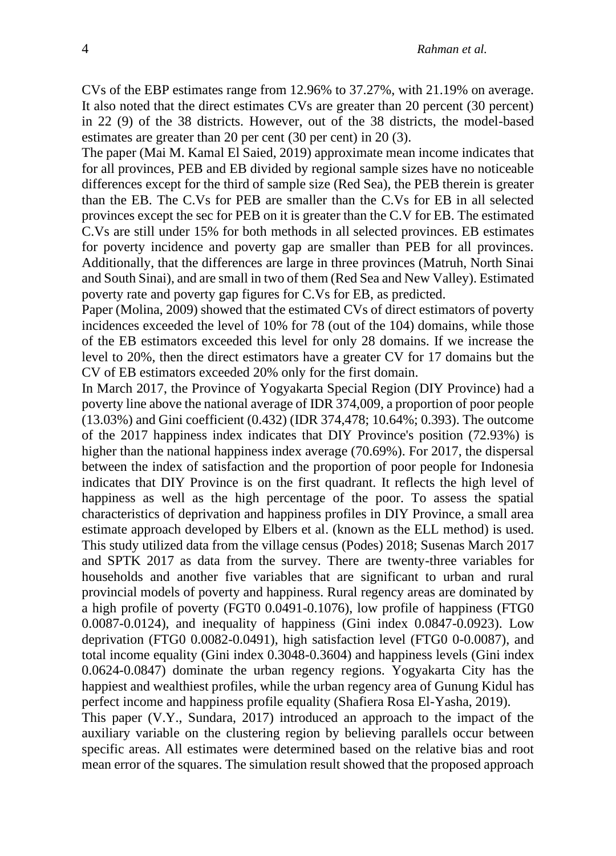CVs of the EBP estimates range from 12.96% to 37.27%, with 21.19% on average. It also noted that the direct estimates CVs are greater than 20 percent (30 percent) in 22 (9) of the 38 districts. However, out of the 38 districts, the model-based estimates are greater than 20 per cent (30 per cent) in 20 (3).

The paper (Mai M. Kamal El Saied, 2019) approximate mean income indicates that for all provinces, PEB and EB divided by regional sample sizes have no noticeable differences except for the third of sample size (Red Sea), the PEB therein is greater than the EB. The C.Vs for PEB are smaller than the C.Vs for EB in all selected provinces except the sec for PEB on it is greater than the C.V for EB. The estimated C.Vs are still under 15% for both methods in all selected provinces. EB estimates for poverty incidence and poverty gap are smaller than PEB for all provinces. Additionally, that the differences are large in three provinces (Matruh, North Sinai and South Sinai), and are small in two of them (Red Sea and New Valley). Estimated poverty rate and poverty gap figures for C.Vs for EB, as predicted.

Paper (Molina, 2009) showed that the estimated CVs of direct estimators of poverty incidences exceeded the level of 10% for 78 (out of the 104) domains, while those of the EB estimators exceeded this level for only 28 domains. If we increase the level to 20%, then the direct estimators have a greater CV for 17 domains but the CV of EB estimators exceeded 20% only for the first domain.

In March 2017, the Province of Yogyakarta Special Region (DIY Province) had a poverty line above the national average of IDR 374,009, a proportion of poor people (13.03%) and Gini coefficient (0.432) (IDR 374,478; 10.64%; 0.393). The outcome of the 2017 happiness index indicates that DIY Province's position (72.93%) is higher than the national happiness index average (70.69%). For 2017, the dispersal between the index of satisfaction and the proportion of poor people for Indonesia indicates that DIY Province is on the first quadrant. It reflects the high level of happiness as well as the high percentage of the poor. To assess the spatial characteristics of deprivation and happiness profiles in DIY Province, a small area estimate approach developed by Elbers et al. (known as the ELL method) is used. This study utilized data from the village census (Podes) 2018; Susenas March 2017 and SPTK 2017 as data from the survey. There are twenty-three variables for households and another five variables that are significant to urban and rural provincial models of poverty and happiness. Rural regency areas are dominated by a high profile of poverty (FGT0 0.0491-0.1076), low profile of happiness (FTG0 0.0087-0.0124), and inequality of happiness (Gini index 0.0847-0.0923). Low deprivation (FTG0 0.0082-0.0491), high satisfaction level (FTG0 0-0.0087), and total income equality (Gini index 0.3048-0.3604) and happiness levels (Gini index 0.0624-0.0847) dominate the urban regency regions. Yogyakarta City has the happiest and wealthiest profiles, while the urban regency area of Gunung Kidul has perfect income and happiness profile equality (Shafiera Rosa El-Yasha, 2019).

This paper (V.Y., Sundara, 2017) introduced an approach to the impact of the auxiliary variable on the clustering region by believing parallels occur between specific areas. All estimates were determined based on the relative bias and root mean error of the squares. The simulation result showed that the proposed approach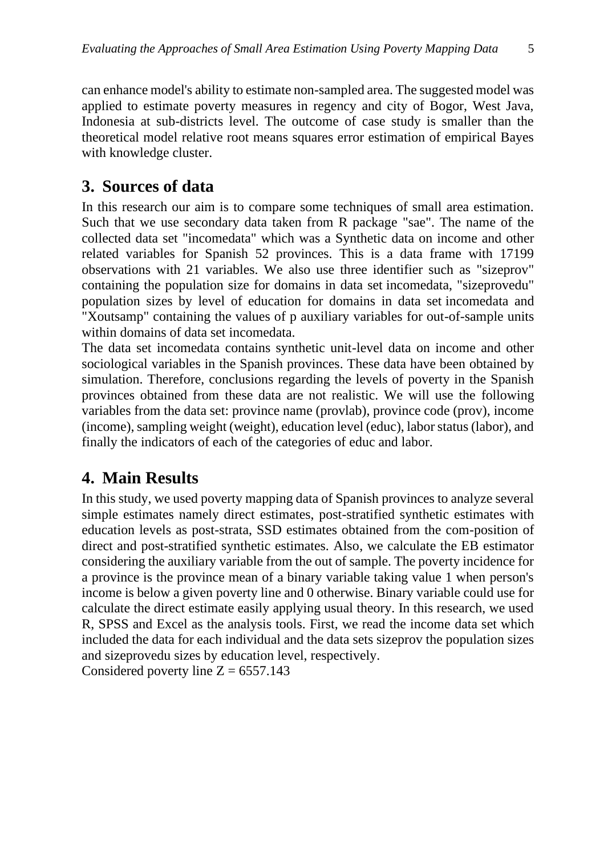can enhance model's ability to estimate non-sampled area. The suggested model was applied to estimate poverty measures in regency and city of Bogor, West Java, Indonesia at sub-districts level. The outcome of case study is smaller than the theoretical model relative root means squares error estimation of empirical Bayes with knowledge cluster.

### **3. Sources of data**

In this research our aim is to compare some techniques of small area estimation. Such that we use secondary data taken from R package "sae". The name of the collected data set "incomedata" which was a Synthetic data on income and other related variables for Spanish 52 provinces. This is a data frame with 17199 observations with 21 variables. We also use three identifier such as "sizeprov" containing the population size for domains in data set incomedata, "sizeprovedu" population sizes by level of education for domains in data set incomedata and "Xoutsamp" containing the values of p auxiliary variables for out-of-sample units within domains of data set incomedata.

The data set incomedata contains synthetic unit-level data on income and other sociological variables in the Spanish provinces. These data have been obtained by simulation. Therefore, conclusions regarding the levels of poverty in the Spanish provinces obtained from these data are not realistic. We will use the following variables from the data set: province name (provlab), province code (prov), income (income), sampling weight (weight), education level (educ), labor status (labor), and finally the indicators of each of the categories of educ and labor.

## **4. Main Results**

In this study, we used poverty mapping data of Spanish provinces to analyze several simple estimates namely direct estimates, post-stratified synthetic estimates with education levels as post-strata, SSD estimates obtained from the com-position of direct and post-stratified synthetic estimates. Also, we calculate the EB estimator considering the auxiliary variable from the out of sample. The poverty incidence for a province is the province mean of a binary variable taking value 1 when person's income is below a given poverty line and 0 otherwise. Binary variable could use for calculate the direct estimate easily applying usual theory. In this research, we used R, SPSS and Excel as the analysis tools. First, we read the income data set which included the data for each individual and the data sets sizeprov the population sizes and sizeprovedu sizes by education level, respectively.

Considered poverty line  $Z = 6557.143$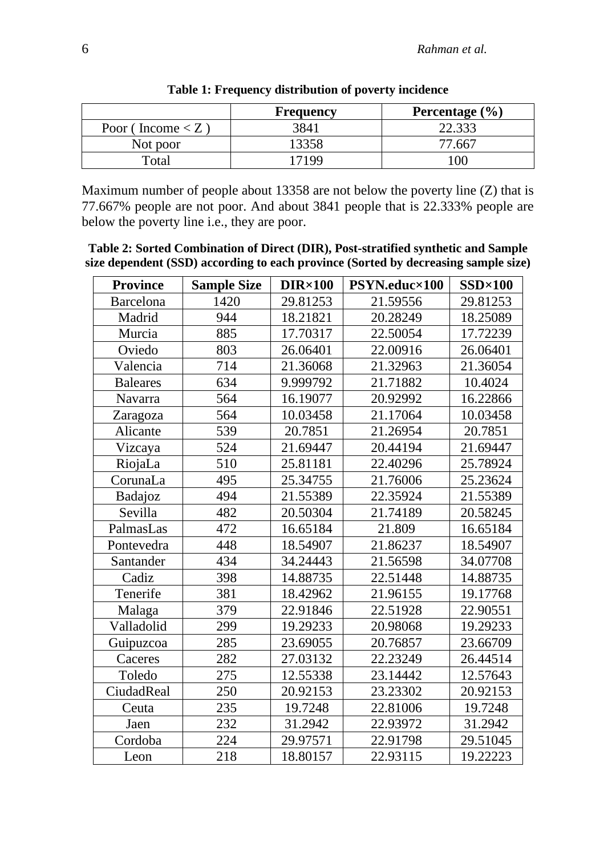|                                    | <b>Frequency</b> | Percentage $(\% )$ |
|------------------------------------|------------------|--------------------|
| Poor (Income $\langle Z \rangle$ ) | 3841             | 22.333             |
| Not poor                           | 13358            | 77 667             |
| $\tau$ otal                        | 17199            | $\alpha$           |

**Table 1: Frequency distribution of poverty incidence**

Maximum number of people about 13358 are not below the poverty line (Z) that is 77.667% people are not poor. And about 3841 people that is 22.333% people are below the poverty line i.e., they are poor.

**Table 2: Sorted Combination of Direct (DIR), Post-stratified synthetic and Sample size dependent (SSD) according to each province (Sorted by decreasing sample size)**

| <b>Province</b>  | <b>Sample Size</b> | DIR×100  | PSYN.educ×100 | $SSD \times 100$ |
|------------------|--------------------|----------|---------------|------------------|
| <b>Barcelona</b> | 1420               | 29.81253 | 21.59556      | 29.81253         |
| Madrid           | 944                | 18.21821 | 20.28249      | 18.25089         |
| Murcia           | 885                | 17.70317 | 22.50054      | 17.72239         |
| Oviedo           | 803                | 26.06401 | 22.00916      | 26.06401         |
| Valencia         | 714                | 21.36068 | 21.32963      | 21.36054         |
| <b>Baleares</b>  | 634                | 9.999792 | 21.71882      | 10.4024          |
| Navarra          | 564                | 16.19077 | 20.92992      | 16.22866         |
| Zaragoza         | 564                | 10.03458 | 21.17064      | 10.03458         |
| Alicante         | 539                | 20.7851  | 21.26954      | 20.7851          |
| Vizcaya          | 524                | 21.69447 | 20.44194      | 21.69447         |
| RiojaLa          | 510                | 25.81181 | 22.40296      | 25.78924         |
| CorunaLa         | 495                | 25.34755 | 21.76006      | 25.23624         |
| Badajoz          | 494                | 21.55389 | 22.35924      | 21.55389         |
| Sevilla          | 482                | 20.50304 | 21.74189      | 20.58245         |
| PalmasLas        | 472                | 16.65184 | 21.809        | 16.65184         |
| Pontevedra       | 448                | 18.54907 | 21.86237      | 18.54907         |
| Santander        | 434                | 34.24443 | 21.56598      | 34.07708         |
| Cadiz            | 398                | 14.88735 | 22.51448      | 14.88735         |
| Tenerife         | 381                | 18.42962 | 21.96155      | 19.17768         |
| Malaga           | 379                | 22.91846 | 22.51928      | 22.90551         |
| Valladolid       | 299                | 19.29233 | 20.98068      | 19.29233         |
| Guipuzcoa        | 285                | 23.69055 | 20.76857      | 23.66709         |
| Caceres          | 282                | 27.03132 | 22.23249      | 26.44514         |
| Toledo           | 275                | 12.55338 | 23.14442      | 12.57643         |
| CiudadReal       | 250                | 20.92153 | 23.23302      | 20.92153         |
| Ceuta            | 235                | 19.7248  | 22.81006      | 19.7248          |
| Jaen             | 232                | 31.2942  | 22.93972      | 31.2942          |
| Cordoba          | 224                | 29.97571 | 22.91798      | 29.51045         |
| Leon             | 218                | 18.80157 | 22.93115      | 19.22223         |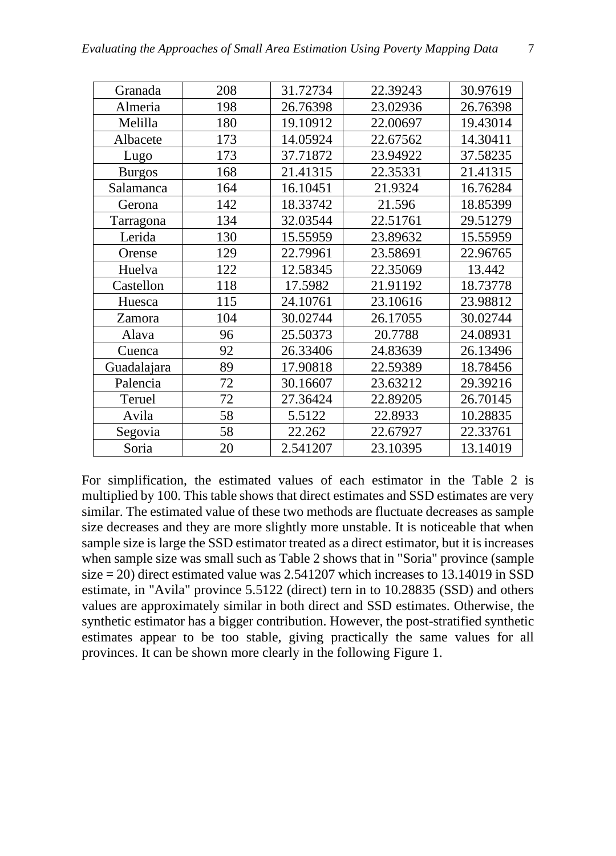| Granada       | 208 | 31.72734 | 22.39243 | 30.97619 |
|---------------|-----|----------|----------|----------|
| Almeria       | 198 | 26.76398 | 23.02936 | 26.76398 |
| Melilla       | 180 | 19.10912 | 22.00697 | 19.43014 |
| Albacete      | 173 | 14.05924 | 22.67562 | 14.30411 |
| Lugo          | 173 | 37.71872 | 23.94922 | 37.58235 |
| <b>Burgos</b> | 168 | 21.41315 | 22.35331 | 21.41315 |
| Salamanca     | 164 | 16.10451 | 21.9324  | 16.76284 |
| Gerona        | 142 | 18.33742 | 21.596   | 18.85399 |
| Tarragona     | 134 | 32.03544 | 22.51761 | 29.51279 |
| Lerida        | 130 | 15.55959 | 23.89632 | 15.55959 |
| Orense        | 129 | 22.79961 | 23.58691 | 22.96765 |
| Huelva        | 122 | 12.58345 | 22.35069 | 13.442   |
| Castellon     | 118 | 17.5982  | 21.91192 | 18.73778 |
| Huesca        | 115 | 24.10761 | 23.10616 | 23.98812 |
| Zamora        | 104 | 30.02744 | 26.17055 | 30.02744 |
| Alava         | 96  | 25.50373 | 20.7788  | 24.08931 |
| Cuenca        | 92  | 26.33406 | 24.83639 | 26.13496 |
| Guadalajara   | 89  | 17.90818 | 22.59389 | 18.78456 |
| Palencia      | 72  | 30.16607 | 23.63212 | 29.39216 |
| Teruel        | 72  | 27.36424 | 22.89205 | 26.70145 |
| Avila         | 58  | 5.5122   | 22.8933  | 10.28835 |

For simplification, the estimated values of each estimator in the Table 2 is multiplied by 100. This table shows that direct estimates and SSD estimates are very similar. The estimated value of these two methods are fluctuate decreases as sample size decreases and they are more slightly more unstable. It is noticeable that when sample size is large the SSD estimator treated as a direct estimator, but it is increases when sample size was small such as Table 2 shows that in "Soria" province (sample size = 20) direct estimated value was 2.541207 which increases to 13.14019 in SSD estimate, in "Avila" province 5.5122 (direct) tern in to 10.28835 (SSD) and others values are approximately similar in both direct and SSD estimates. Otherwise, the synthetic estimator has a bigger contribution. However, the post-stratified synthetic estimates appear to be too stable, giving practically the same values for all provinces. It can be shown more clearly in the following Figure 1.

Segovia | 58 | 22.262 | 22.67927 | 22.33761 Soria | 20 | 2.541207 | 23.10395 | 13.14019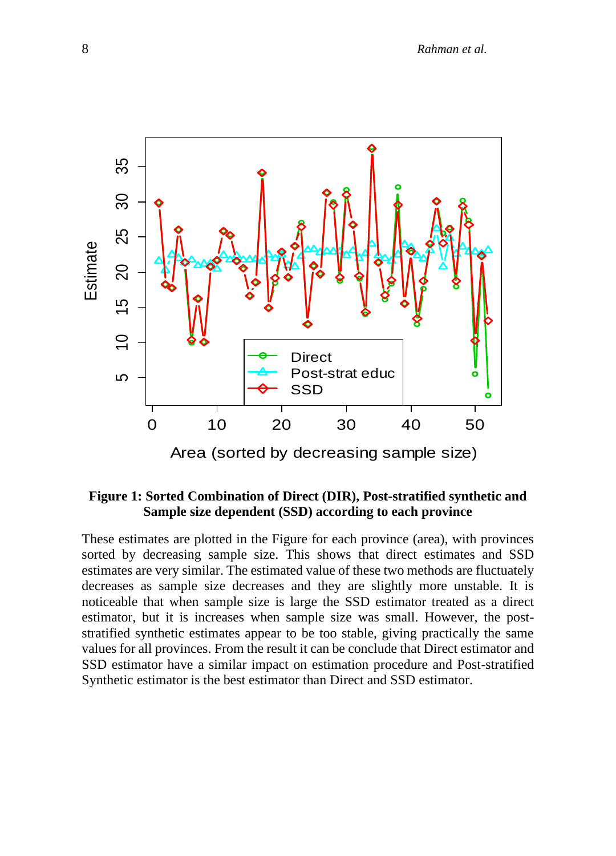

#### **Figure 1: Sorted Combination of Direct (DIR), Post-stratified synthetic and Sample size dependent (SSD) according to each province**

These estimates are plotted in the Figure for each province (area), with provinces sorted by decreasing sample size. This shows that direct estimates and SSD estimates are very similar. The estimated value of these two methods are fluctuately decreases as sample size decreases and they are slightly more unstable. It is noticeable that when sample size is large the SSD estimator treated as a direct estimator, but it is increases when sample size was small. However, the poststratified synthetic estimates appear to be too stable, giving practically the same values for all provinces. From the result it can be conclude that Direct estimator and SSD estimator have a similar impact on estimation procedure and Post-stratified Synthetic estimator is the best estimator than Direct and SSD estimator.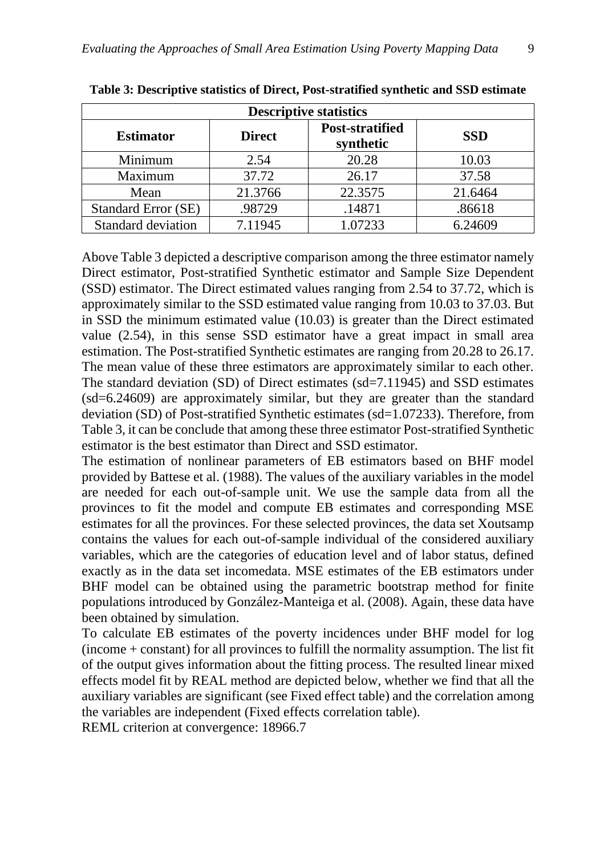| <b>Descriptive statistics</b> |               |                                     |            |  |  |  |
|-------------------------------|---------------|-------------------------------------|------------|--|--|--|
| <b>Estimator</b>              | <b>Direct</b> | <b>Post-stratified</b><br>synthetic | <b>SSD</b> |  |  |  |
| Minimum                       | 2.54          | 20.28                               | 10.03      |  |  |  |
| Maximum                       | 37.72         | 26.17                               | 37.58      |  |  |  |
| Mean                          | 21.3766       | 22.3575                             | 21.6464    |  |  |  |
| <b>Standard Error (SE)</b>    | .98729        | .14871                              | .86618     |  |  |  |
| Standard deviation            | 7.11945       | 1.07233                             | 6.24609    |  |  |  |

**Table 3: Descriptive statistics of Direct, Post-stratified synthetic and SSD estimate**

Above Table 3 depicted a descriptive comparison among the three estimator namely Direct estimator, Post-stratified Synthetic estimator and Sample Size Dependent (SSD) estimator. The Direct estimated values ranging from 2.54 to 37.72, which is approximately similar to the SSD estimated value ranging from 10.03 to 37.03. But in SSD the minimum estimated value (10.03) is greater than the Direct estimated value (2.54), in this sense SSD estimator have a great impact in small area estimation. The Post-stratified Synthetic estimates are ranging from 20.28 to 26.17. The mean value of these three estimators are approximately similar to each other. The standard deviation (SD) of Direct estimates (sd=7.11945) and SSD estimates (sd=6.24609) are approximately similar, but they are greater than the standard deviation (SD) of Post-stratified Synthetic estimates (sd=1.07233). Therefore, from Table 3, it can be conclude that among these three estimator Post-stratified Synthetic estimator is the best estimator than Direct and SSD estimator.

The estimation of nonlinear parameters of EB estimators based on BHF model provided by Battese et al. (1988). The values of the auxiliary variables in the model are needed for each out-of-sample unit. We use the sample data from all the provinces to fit the model and compute EB estimates and corresponding MSE estimates for all the provinces. For these selected provinces, the data set Xoutsamp contains the values for each out-of-sample individual of the considered auxiliary variables, which are the categories of education level and of labor status, defined exactly as in the data set incomedata. MSE estimates of the EB estimators under BHF model can be obtained using the parametric bootstrap method for finite populations introduced by González-Manteiga et al. (2008). Again, these data have been obtained by simulation.

To calculate EB estimates of the poverty incidences under BHF model for log (income + constant) for all provinces to fulfill the normality assumption. The list fit of the output gives information about the fitting process. The resulted linear mixed effects model fit by REAL method are depicted below, whether we find that all the auxiliary variables are significant (see Fixed effect table) and the correlation among the variables are independent (Fixed effects correlation table).

REML criterion at convergence: 18966.7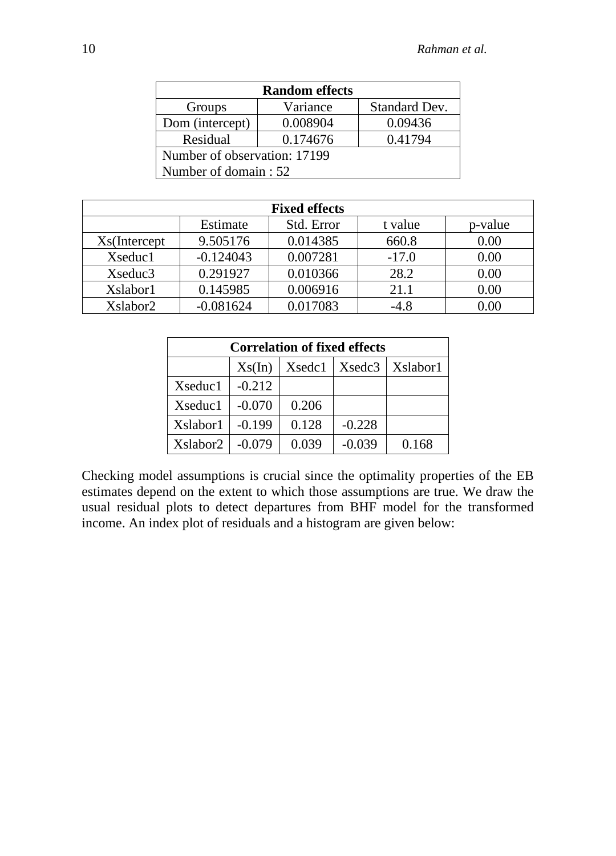| <b>Random effects</b>        |                      |               |  |  |  |  |
|------------------------------|----------------------|---------------|--|--|--|--|
| Groups                       | Variance             | Standard Dev. |  |  |  |  |
| Dom (intercept)              | 0.008904             | 0.09436       |  |  |  |  |
| Residual                     | 0.41794              |               |  |  |  |  |
| Number of observation: 17199 |                      |               |  |  |  |  |
|                              | Number of domain: 52 |               |  |  |  |  |

| <b>Fixed effects</b> |             |            |         |          |  |  |
|----------------------|-------------|------------|---------|----------|--|--|
|                      | Estimate    | Std. Error | t value | p-value  |  |  |
| Xs(Intercept         | 9.505176    | 0.014385   | 660.8   | 0.00     |  |  |
| Xseduc1              | $-0.124043$ | 0.007281   | $-17.0$ | 0.00     |  |  |
| Xseduc3              | 0.291927    | 0.010366   | 28.2    | 0.00     |  |  |
| Xslabor1             | 0.145985    | 0.006916   | 21.1    | 0.00     |  |  |
| Xslabor2             | $-0.081624$ | 0.017083   | $-4.8$  | $0.00\,$ |  |  |

| <b>Correlation of fixed effects</b> |                                       |       |          |       |  |  |  |  |
|-------------------------------------|---------------------------------------|-------|----------|-------|--|--|--|--|
|                                     | Xsedc3   Xslabor1<br>Xsedc1<br>Xs(In) |       |          |       |  |  |  |  |
| Xseduc1                             | $-0.212$                              |       |          |       |  |  |  |  |
| Xseduc1                             | $-0.070$                              | 0.206 |          |       |  |  |  |  |
| Xslabor1                            | $-0.199$                              | 0.128 | $-0.228$ |       |  |  |  |  |
| Xslabor2                            | $-0.079$                              | 0.039 | $-0.039$ | 0.168 |  |  |  |  |

Checking model assumptions is crucial since the optimality properties of the EB estimates depend on the extent to which those assumptions are true. We draw the usual residual plots to detect departures from BHF model for the transformed income. An index plot of residuals and a histogram are given below: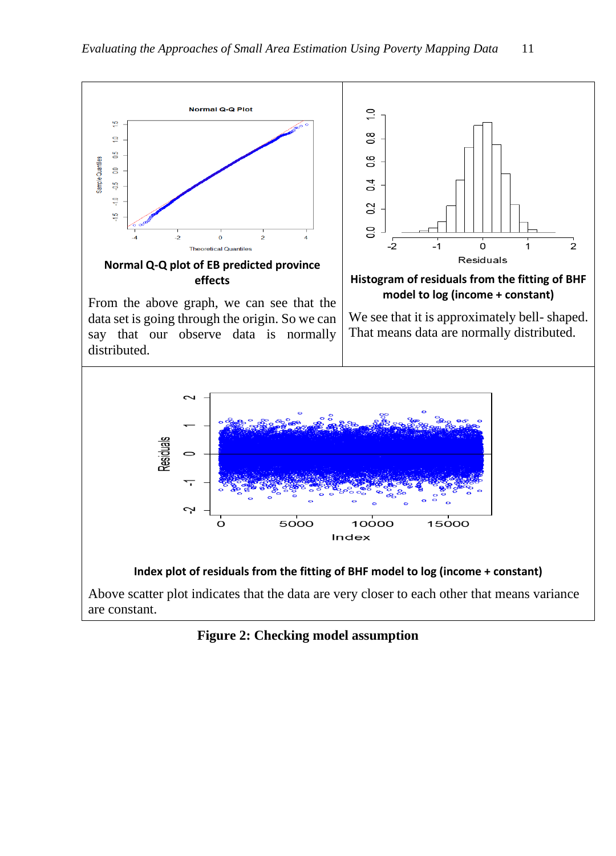

**Figure 2: Checking model assumption**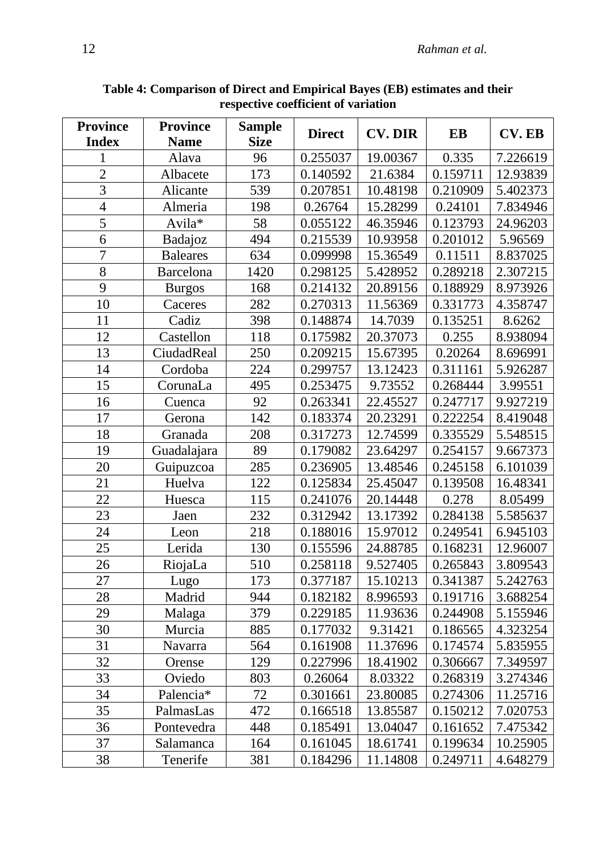| <b>Province</b><br><b>Index</b> | <b>Province</b><br><b>Name</b> | <b>Sample</b><br><b>Size</b> | <b>Direct</b> | <b>CV. DIR</b> | EB       | <b>CV. EB</b> |
|---------------------------------|--------------------------------|------------------------------|---------------|----------------|----------|---------------|
|                                 | Alava                          | 96                           | 0.255037      | 19.00367       | 0.335    | 7.226619      |
| $\overline{2}$                  | Albacete                       | 173                          | 0.140592      | 21.6384        | 0.159711 | 12.93839      |
| 3                               | Alicante                       | 539                          | 0.207851      | 10.48198       | 0.210909 | 5.402373      |
| $\overline{4}$                  | Almeria                        | 198                          | 0.26764       | 15.28299       | 0.24101  | 7.834946      |
| $\overline{5}$                  | Avila*                         | 58                           | 0.055122      | 46.35946       | 0.123793 | 24.96203      |
| 6                               | Badajoz                        | 494                          | 0.215539      | 10.93958       | 0.201012 | 5.96569       |
| $\overline{7}$                  | <b>Baleares</b>                | 634                          | 0.099998      | 15.36549       | 0.11511  | 8.837025      |
| 8                               | Barcelona                      | 1420                         | 0.298125      | 5.428952       | 0.289218 | 2.307215      |
| 9                               | <b>Burgos</b>                  | 168                          | 0.214132      | 20.89156       | 0.188929 | 8.973926      |
| 10                              | Caceres                        | 282                          | 0.270313      | 11.56369       | 0.331773 | 4.358747      |
| 11                              | Cadiz                          | 398                          | 0.148874      | 14.7039        | 0.135251 | 8.6262        |
| 12                              | Castellon                      | 118                          | 0.175982      | 20.37073       | 0.255    | 8.938094      |
| 13                              | CiudadReal                     | 250                          | 0.209215      | 15.67395       | 0.20264  | 8.696991      |
| 14                              | Cordoba                        | 224                          | 0.299757      | 13.12423       | 0.311161 | 5.926287      |
| 15                              | CorunaLa                       | 495                          | 0.253475      | 9.73552        | 0.268444 | 3.99551       |
| 16                              | Cuenca                         | 92                           | 0.263341      | 22.45527       | 0.247717 | 9.927219      |
| 17                              | Gerona                         | 142                          | 0.183374      | 20.23291       | 0.222254 | 8.419048      |
| 18                              | Granada                        | 208                          | 0.317273      | 12.74599       | 0.335529 | 5.548515      |
| 19                              | Guadalajara                    | 89                           | 0.179082      | 23.64297       | 0.254157 | 9.667373      |
| 20                              | Guipuzcoa                      | 285                          | 0.236905      | 13.48546       | 0.245158 | 6.101039      |
| 21                              | Huelva                         | 122                          | 0.125834      | 25.45047       | 0.139508 | 16.48341      |
| 22                              | Huesca                         | 115                          | 0.241076      | 20.14448       | 0.278    | 8.05499       |
| 23                              | Jaen                           | 232                          | 0.312942      | 13.17392       | 0.284138 | 5.585637      |
| 24                              | Leon                           | 218                          | 0.188016      | 15.97012       | 0.249541 | 6.945103      |
| 25                              | Lerida                         | 130                          | 0.155596      | 24.88785       | 0.168231 | 12.96007      |
| 26                              | RiojaLa                        | 510                          | 0.258118      | 9.527405       | 0.265843 | 3.809543      |
| 27                              | Lugo                           | 173                          | 0.377187      | 15.10213       | 0.341387 | 5.242763      |
| 28                              | Madrid                         | 944                          | 0.182182      | 8.996593       | 0.191716 | 3.688254      |
| 29                              | Malaga                         | 379                          | 0.229185      | 11.93636       | 0.244908 | 5.155946      |
| 30                              | Murcia                         | 885                          | 0.177032      | 9.31421        | 0.186565 | 4.323254      |
| 31                              | Navarra                        | 564                          | 0.161908      | 11.37696       | 0.174574 | 5.835955      |
| 32                              | Orense                         | 129                          | 0.227996      | 18.41902       | 0.306667 | 7.349597      |
| 33                              | Oviedo                         | 803                          | 0.26064       | 8.03322        | 0.268319 | 3.274346      |
| 34                              | Palencia <sup>*</sup>          | 72                           | 0.301661      | 23.80085       | 0.274306 | 11.25716      |
| 35                              | PalmasLas                      | 472                          | 0.166518      | 13.85587       | 0.150212 | 7.020753      |
| 36                              | Pontevedra                     | 448                          | 0.185491      | 13.04047       | 0.161652 | 7.475342      |
| 37                              | Salamanca                      | 164                          | 0.161045      | 18.61741       | 0.199634 | 10.25905      |
| 38                              | Tenerife                       | 381                          | 0.184296      | 11.14808       | 0.249711 | 4.648279      |

**Table 4: Comparison of Direct and Empirical Bayes (EB) estimates and their respective coefficient of variation**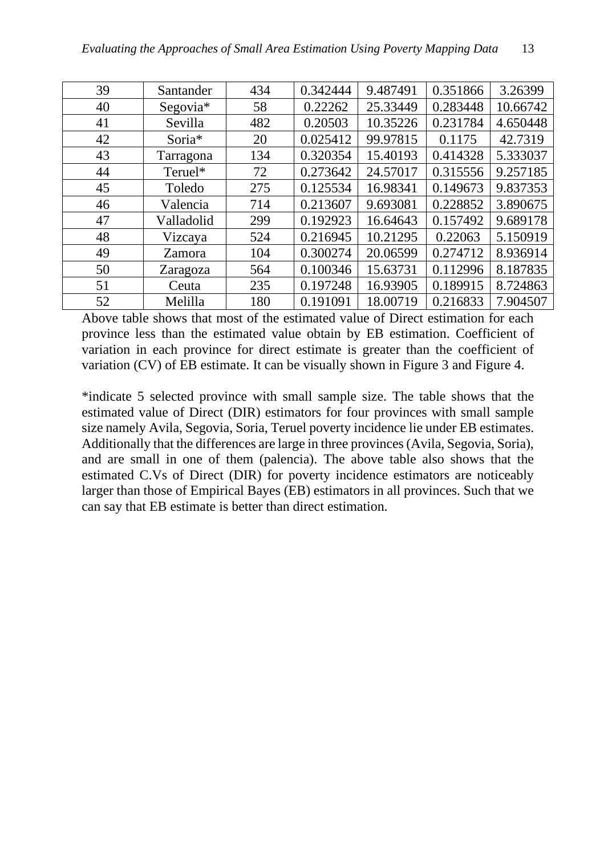| 39 | Santander  | 434 | 0.342444 | 9.487491 | 0.351866 | 3.26399  |
|----|------------|-----|----------|----------|----------|----------|
| 40 | Segovia*   | 58  | 0.22262  | 25.33449 | 0.283448 | 10.66742 |
| 41 | Sevilla    | 482 | 0.20503  | 10.35226 | 0.231784 | 4.650448 |
| 42 | Soria*     | 20  | 0.025412 | 99.97815 | 0.1175   | 42.7319  |
| 43 | Tarragona  | 134 | 0.320354 | 15.40193 | 0.414328 | 5.333037 |
| 44 | Teruel*    | 72  | 0.273642 | 24.57017 | 0.315556 | 9.257185 |
| 45 | Toledo     | 275 | 0.125534 | 16.98341 | 0.149673 | 9.837353 |
| 46 | Valencia   | 714 | 0.213607 | 9.693081 | 0.228852 | 3.890675 |
| 47 | Valladolid | 299 | 0.192923 | 16.64643 | 0.157492 | 9.689178 |
| 48 | Vizcaya    | 524 | 0.216945 | 10.21295 | 0.22063  | 5.150919 |
| 49 | Zamora     | 104 | 0.300274 | 20.06599 | 0.274712 | 8.936914 |
| 50 | Zaragoza   | 564 | 0.100346 | 15.63731 | 0.112996 | 8.187835 |
| 51 | Ceuta      | 235 | 0.197248 | 16.93905 | 0.189915 | 8.724863 |
| 52 | Melilla    | 180 | 0.191091 | 18.00719 | 0.216833 | 7.904507 |

Above table shows that most of the estimated value of Direct estimation for each province less than the estimated value obtain by EB estimation. Coefficient of variation in each province for direct estimate is greater than the coefficient of variation (CV) of EB estimate. It can be visually shown in Figure 3 and Figure 4.

\*indicate 5 selected province with small sample size. The table shows that the estimated value of Direct (DIR) estimators for four provinces with small sample size namely Avila, Segovia, Soria, Teruel poverty incidence lie under EB estimates. Additionally that the differences are large in three provinces (Avila, Segovia, Soria), and are small in one of them (palencia). The above table also shows that the estimated C.Vs of Direct (DIR) for poverty incidence estimators are noticeably larger than those of Empirical Bayes (EB) estimators in all provinces. Such that we can say that EB estimate is better than direct estimation.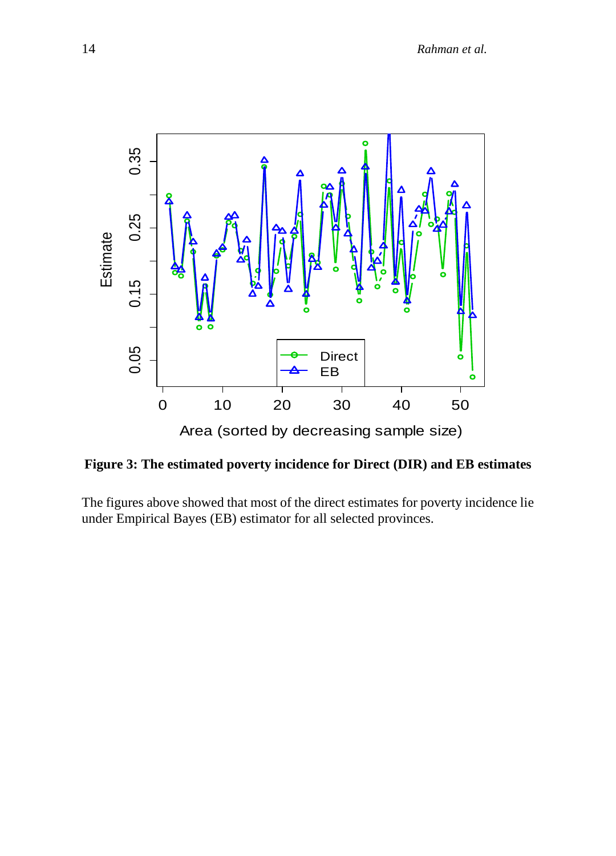

**Figure 3: The estimated poverty incidence for Direct (DIR) and EB estimates**

The figures above showed that most of the direct estimates for poverty incidence lie under Empirical Bayes (EB) estimator for all selected provinces.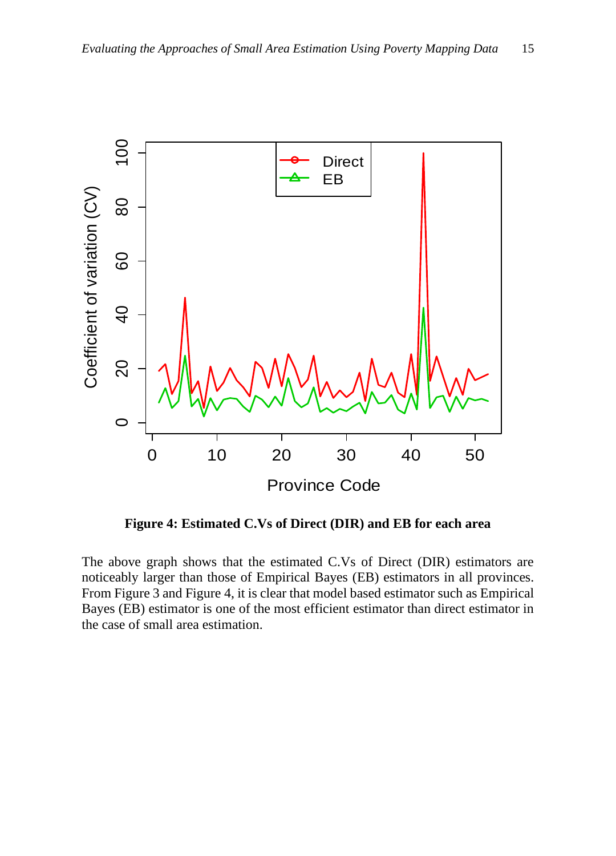

**Figure 4: Estimated C.Vs of Direct (DIR) and EB for each area**

The above graph shows that the estimated C.Vs of Direct (DIR) estimators are noticeably larger than those of Empirical Bayes (EB) estimators in all provinces. From Figure 3 and Figure 4, it is clear that model based estimator such as Empirical Bayes (EB) estimator is one of the most efficient estimator than direct estimator in the case of small area estimation.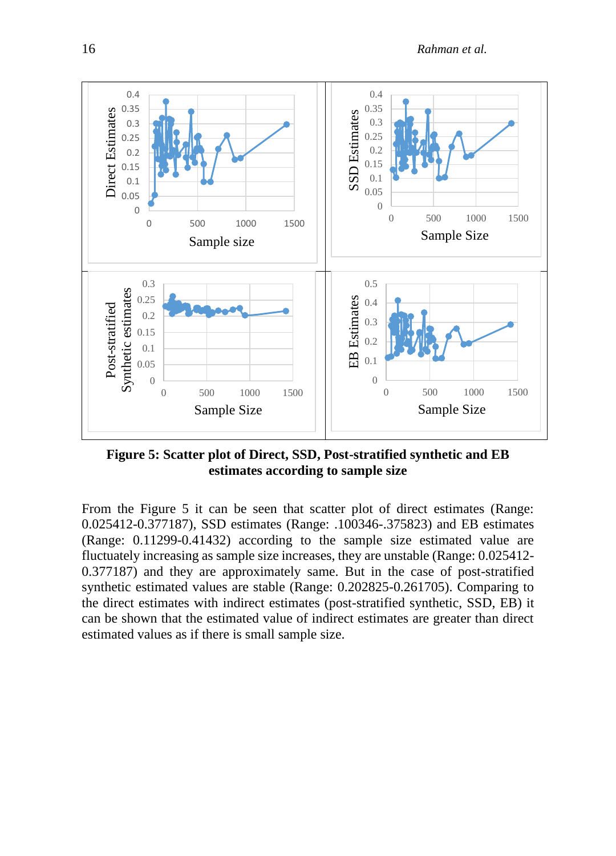

**Figure 5: Scatter plot of Direct, SSD, Post-stratified synthetic and EB estimates according to sample size**

From the Figure 5 it can be seen that scatter plot of direct estimates (Range: 0.025412-0.377187), SSD estimates (Range: .100346-.375823) and EB estimates (Range: 0.11299-0.41432) according to the sample size estimated value are fluctuately increasing as sample size increases, they are unstable (Range: 0.025412- 0.377187) and they are approximately same. But in the case of post-stratified synthetic estimated values are stable (Range: 0.202825-0.261705). Comparing to the direct estimates with indirect estimates (post-stratified synthetic, SSD, EB) it can be shown that the estimated value of indirect estimates are greater than direct estimated values as if there is small sample size.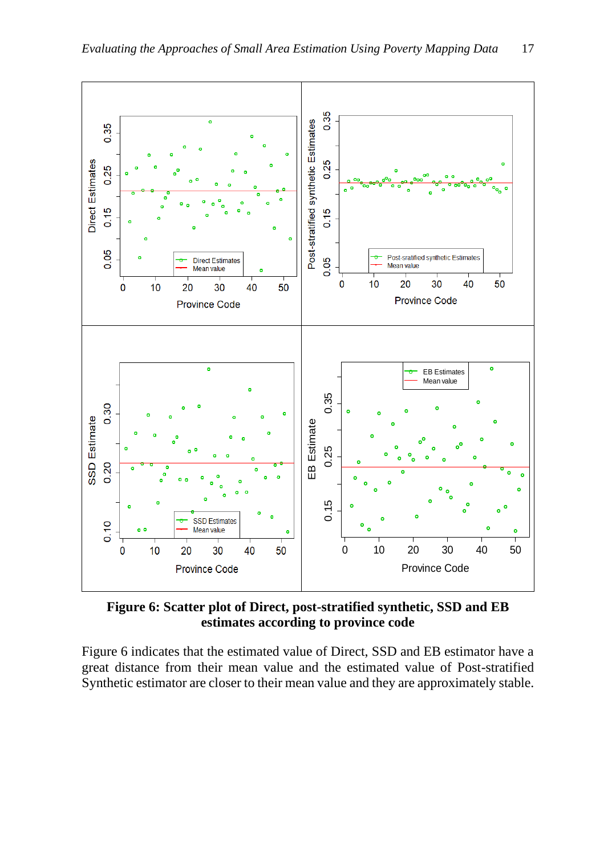

**Figure 6: Scatter plot of Direct, post-stratified synthetic, SSD and EB estimates according to province code**

Figure 6 indicates that the estimated value of Direct, SSD and EB estimator have a great distance from their mean value and the estimated value of Post-stratified Synthetic estimator are closer to their mean value and they are approximately stable.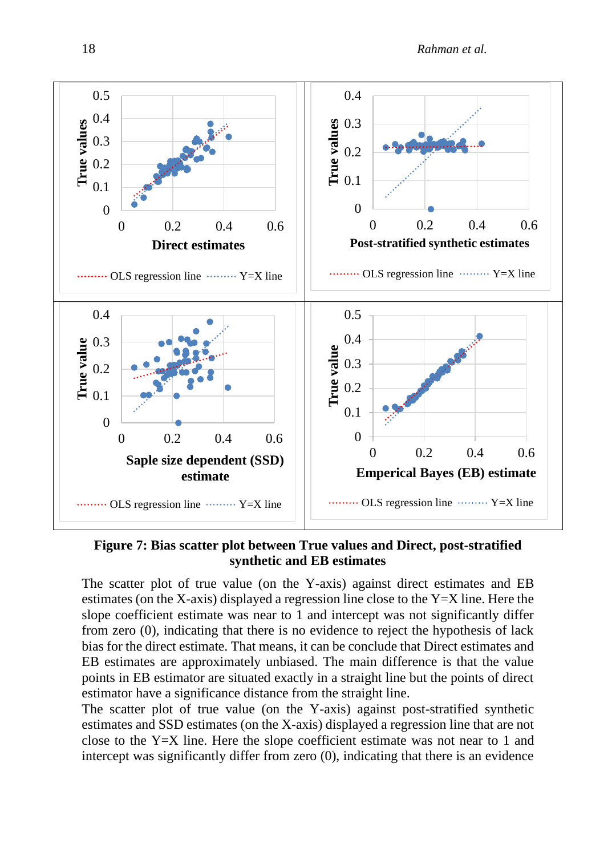

**Figure 7: Bias scatter plot between True values and Direct, post-stratified synthetic and EB estimates**

The scatter plot of true value (on the Y-axis) against direct estimates and EB estimates (on the X-axis) displayed a regression line close to the Y=X line. Here the slope coefficient estimate was near to 1 and intercept was not significantly differ from zero (0), indicating that there is no evidence to reject the hypothesis of lack bias for the direct estimate. That means, it can be conclude that Direct estimates and EB estimates are approximately unbiased. The main difference is that the value points in EB estimator are situated exactly in a straight line but the points of direct estimator have a significance distance from the straight line.

The scatter plot of true value (on the Y-axis) against post-stratified synthetic estimates and SSD estimates (on the X-axis) displayed a regression line that are not close to the Y=X line. Here the slope coefficient estimate was not near to 1 and intercept was significantly differ from zero (0), indicating that there is an evidence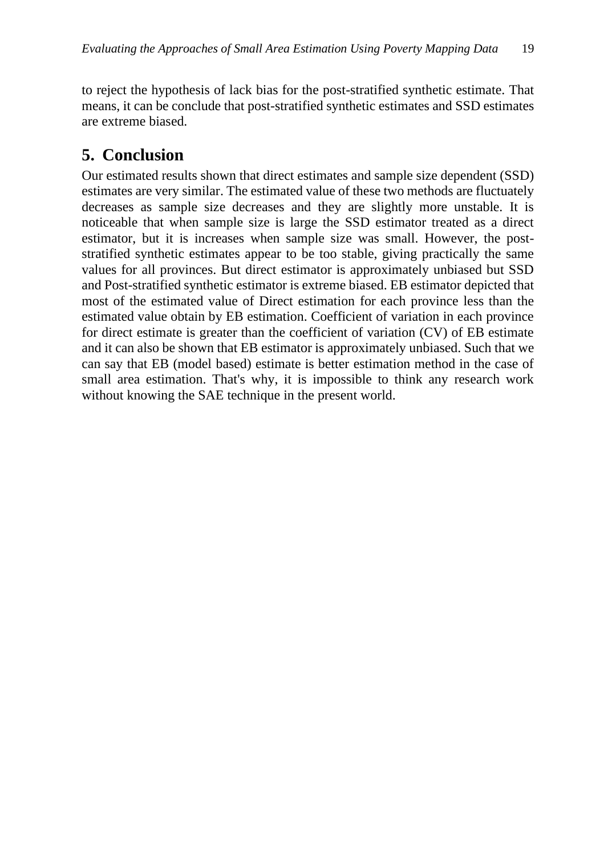to reject the hypothesis of lack bias for the post-stratified synthetic estimate. That means, it can be conclude that post-stratified synthetic estimates and SSD estimates are extreme biased.

### **5. Conclusion**

Our estimated results shown that direct estimates and sample size dependent (SSD) estimates are very similar. The estimated value of these two methods are fluctuately decreases as sample size decreases and they are slightly more unstable. It is noticeable that when sample size is large the SSD estimator treated as a direct estimator, but it is increases when sample size was small. However, the poststratified synthetic estimates appear to be too stable, giving practically the same values for all provinces. But direct estimator is approximately unbiased but SSD and Post-stratified synthetic estimator is extreme biased. EB estimator depicted that most of the estimated value of Direct estimation for each province less than the estimated value obtain by EB estimation. Coefficient of variation in each province for direct estimate is greater than the coefficient of variation (CV) of EB estimate and it can also be shown that EB estimator is approximately unbiased. Such that we can say that EB (model based) estimate is better estimation method in the case of small area estimation. That's why, it is impossible to think any research work without knowing the SAE technique in the present world.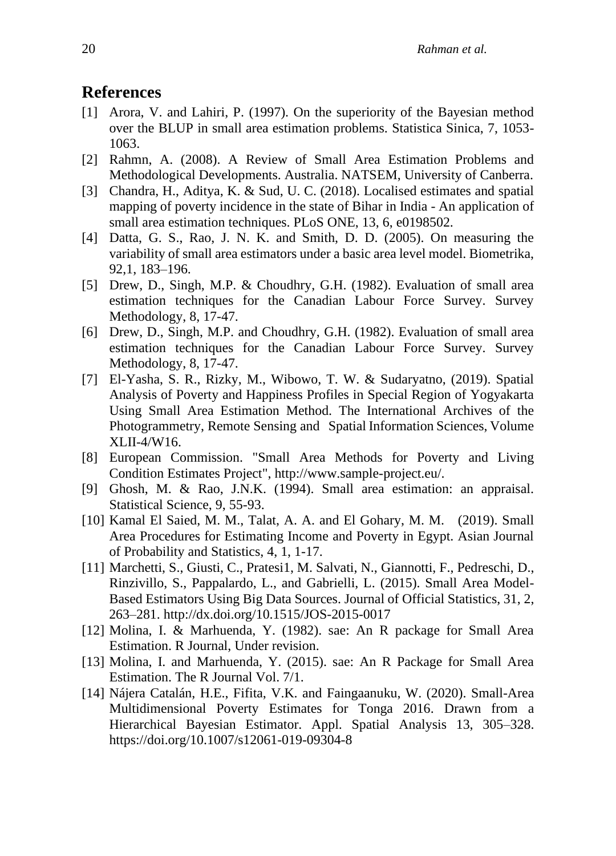#### **References**

- [1] Arora, V. and Lahiri, P. (1997). On the superiority of the Bayesian method over the BLUP in small area estimation problems. Statistica Sinica, 7, 1053- 1063.
- [2] Rahmn, A. (2008). A Review of Small Area Estimation Problems and Methodological Developments. Australia. NATSEM, University of Canberra.
- [3] Chandra, H., Aditya, K. & Sud, U. C. (2018). Localised estimates and spatial mapping of poverty incidence in the state of Bihar in India - An application of small area estimation techniques. PLoS ONE, 13, 6, e0198502.
- [4] Datta, G. S., Rao, J. N. K. and Smith, D. D. (2005). On measuring the variability of small area estimators under a basic area level model. Biometrika, 92,1, 183–196.
- [5] Drew, D., Singh, M.P. & Choudhry, G.H. (1982). Evaluation of small area estimation techniques for the Canadian Labour Force Survey. Survey Methodology, 8, 17-47.
- [6] Drew, D., Singh, M.P. and Choudhry, G.H. (1982). Evaluation of small area estimation techniques for the Canadian Labour Force Survey. Survey Methodology, 8, 17-47.
- [7] El-Yasha, S. R., Rizky, M., Wibowo, T. W. & Sudaryatno, (2019). Spatial Analysis of Poverty and Happiness Profiles in Special Region of Yogyakarta Using Small Area Estimation Method. The International Archives of the Photogrammetry, Remote Sensing and Spatial Information Sciences, Volume XLII-4/W16.
- [8] European Commission. "Small Area Methods for Poverty and Living Condition Estimates Project", [http://www.sample-project.eu/.](http://www.sample-project.eu/)
- [9] Ghosh, M. & Rao, J.N.K. (1994). Small area estimation: an appraisal. Statistical Science, 9, 55-93.
- [10] Kamal El Saied, M. M., Talat, A. A. and El Gohary, M. M. (2019). Small Area Procedures for Estimating Income and Poverty in Egypt. Asian Journal of Probability and Statistics, 4, 1, 1-17.
- [11] Marchetti, S., Giusti, C., Pratesi1, M. Salvati, N., Giannotti, F., Pedreschi, D., Rinzivillo, S., Pappalardo, L., and Gabrielli, L. (2015). Small Area Model-Based Estimators Using Big Data Sources. Journal of Official Statistics, 31, 2, 263–281.<http://dx.doi.org/10.1515/JOS-2015-0017>
- [12] Molina, I. & Marhuenda, Y. (1982). sae: An R package for Small Area Estimation. R Journal, Under revision.
- [13] Molina, I. and Marhuenda, Y. (2015). sae: An R Package for Small Area Estimation. The R Journal Vol. 7/1.
- [14] Nájera Catalán, H.E., Fifita, V.K. and Faingaanuku, W. (2020). Small-Area Multidimensional Poverty Estimates for Tonga 2016. Drawn from a Hierarchical Bayesian Estimator. Appl. Spatial Analysis 13, 305–328. <https://doi.org/10.1007/s12061-019-09304-8>